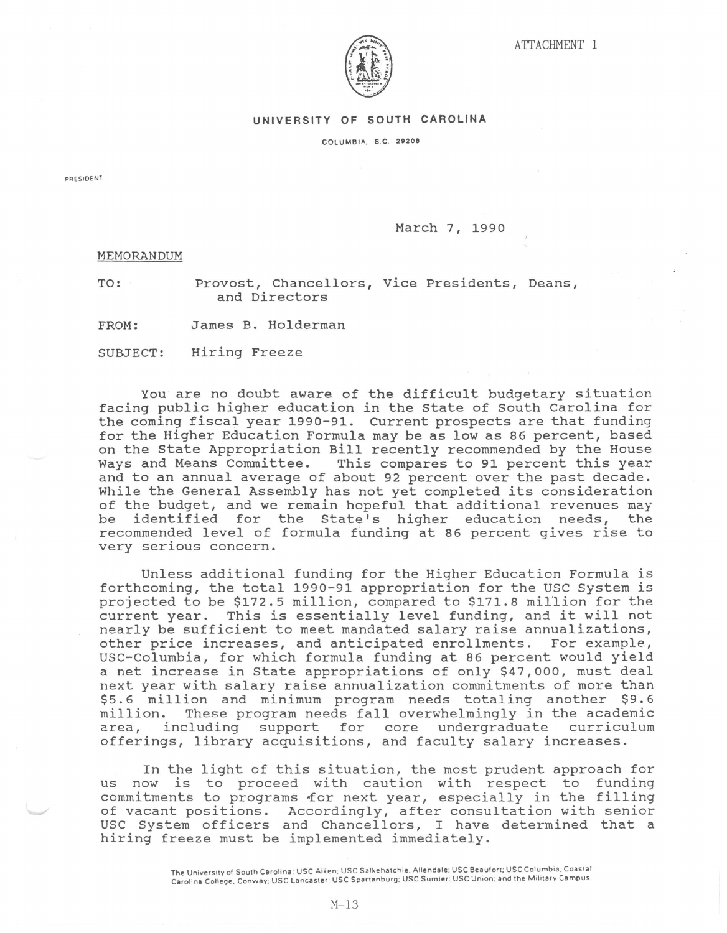

## UNIVERSITY OF SOUTH CAROLINA

COLUMBIA, S.C. 29208

PRESIDE NT

March 7, 1990

MEMORANDUM

TO:

Provost, Chancellors, Vice Presidents, Deans, and Directors

FROM: James B. Holderman

SUBJECT: Hiring Freeze

You are no doubt aware of the difficult budgetary situation facing public higher education in the State of South Carolina for the coming fiscal year 1990-91. current prospects are that funding for the Higher Education Formula may be as low as 86 percent, based on the State Appropriation Bill recently recommended by the House Ways and Means Committee. This compares to 91 percent this year and to an annual average of about 92 percent over the past decade. While the General Assembly has not yet completed its consideration of the budget, and we remain hopeful that additional revenues may be identified for the State's higher education needs, the recommended level of formula funding at 86 percent gives rise to very serious concern.

Unless additional funding for the Higher Education Formula is forthcoming, the total 1990-91 appropriation for the USC System is projected to be \$172.5 million, compared to \$171.8 million for the current year. This is essentially level funding, and it will not nearly be sufficient to meet mandated salary raise annualizations, other price increases, and anticipated enrollments. For example, USC-Columbia, for which formula funding at 86 percent would yield a net increase in State appropriations of only \$47,000, must deal next year with salary raise annualization commitments of more than \$5. 6 million and minimum program needs totaling another \$9. 6 million. These program needs fall overwhelmingly in the academic area, including support for core undergraduate curriculum offerings, library acquisitions, and faculty salary increases.

In the light of this situation, the most prudent approach for us now is to proceed with caution with respect to funding commitments to programs for next year, especially in the filling of vacant positions. Accordingly, after consultation with senior USC System officers and Chancellors, I have determined that a hiring freeze must be implemented immediately.

> The University of South Carolina: USC Aiken; USC Salkehatchie, Allendale; USC Beaufort; USC Columbia; Coastal Carolina College, Conway; USC Lancaster; USC Spartanburg; USC Sumter; USC Union; and the Military Campus.